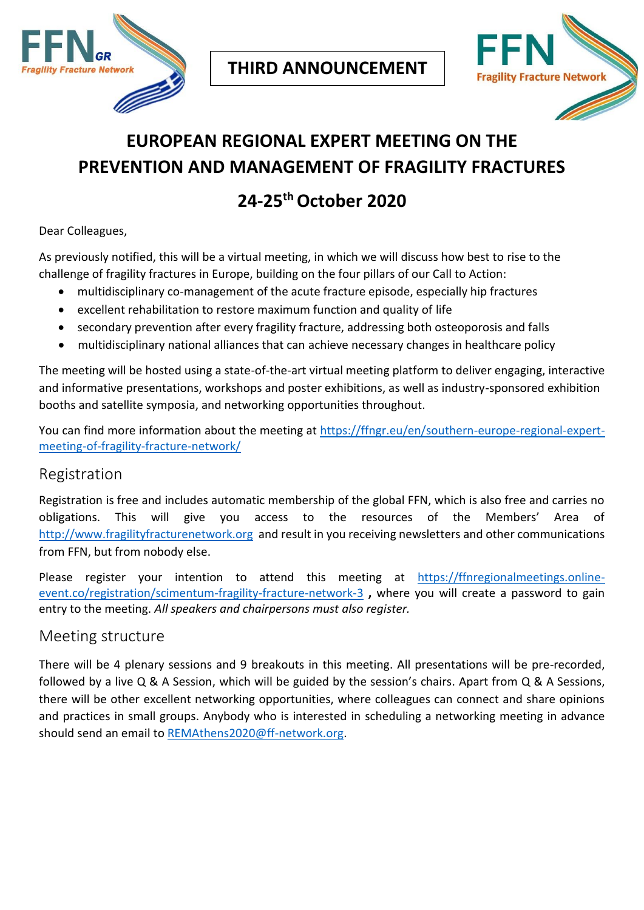



# **EUROPEAN REGIONAL EXPERT MEETING ON THE PREVENTION AND MANAGEMENT OF FRAGILITY FRACTURES**

## **24-25thOctober 2020**

Dear Colleagues,

As previously notified, this will be a virtual meeting, in which we will discuss how best to rise to the challenge of fragility fractures in Europe, building on the four pillars of our Call to Action:

- multidisciplinary co-management of the acute fracture episode, especially hip fractures
- excellent rehabilitation to restore maximum function and quality of life
- secondary prevention after every fragility fracture, addressing both osteoporosis and falls
- multidisciplinary national alliances that can achieve necessary changes in healthcare policy

The meeting will be hosted using a state-of-the-art virtual meeting platform to deliver engaging, interactive and informative presentations, workshops and poster exhibitions, as well as industry-sponsored exhibition booths and satellite symposia, and networking opportunities throughout.

You can find more information about the meeting at [https://ffngr.eu/en/southern-europe-regional-expert](https://ffngr.eu/en/southern-europe-regional-expert-meeting-of-fragility-fracture-network/)[meeting-of-fragility-fracture-network/](https://ffngr.eu/en/southern-europe-regional-expert-meeting-of-fragility-fracture-network/)

#### Registration

Registration is free and includes automatic membership of the global FFN, which is also free and carries no obligations. This will give you access to the resources of the Members' Area of [http://www.fragilityfracturenetwork.org](http://www.fragilityfracturenetwork.org/) and result in you receiving newsletters and other communications from FFN, but from nobody else.

Please register your intention to attend this meeting at [https://ffnregionalmeetings.online](https://ffnregionalmeetings.online-event.co/registration/scimentum-fragility-fracture-network-3)[event.co/registration/scimentum-fragility-fracture-network-3](https://ffnregionalmeetings.online-event.co/registration/scimentum-fragility-fracture-network-3) **,** where you will create a password to gain entry to the meeting. *All speakers and chairpersons must also register.*

#### Meeting structure

There will be 4 plenary sessions and 9 breakouts in this meeting. All presentations will be pre-recorded, followed by a live Q & A Session, which will be guided by the session's chairs. Apart from Q & A Sessions, there will be other excellent networking opportunities, where colleagues can connect and share opinions and practices in small groups. Anybody who is interested in scheduling a networking meeting in advance should send an email to [REMAthens2020@ff-network.org.](mailto:REMAthens2020@ff-network.org)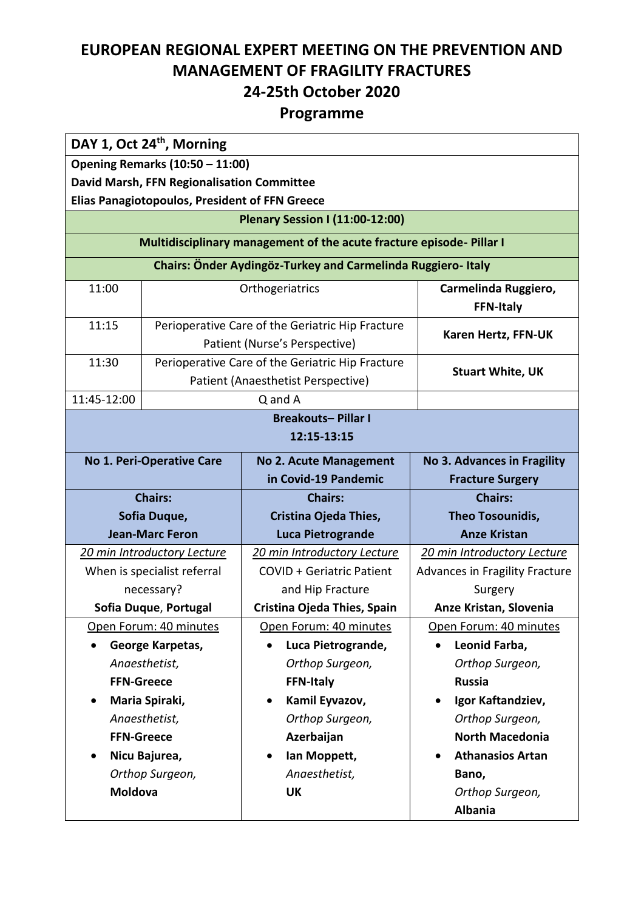### **EUROPEAN REGIONAL EXPERT MEETING ON THE PREVENTION AND MANAGEMENT OF FRAGILITY FRACTURES 24-25th October 2020**

#### **Programme**

| DAY 1, Oct 24 <sup>th</sup> , Morning      |                                                                                        |                                                                                   |                                          |
|--------------------------------------------|----------------------------------------------------------------------------------------|-----------------------------------------------------------------------------------|------------------------------------------|
|                                            | Opening Remarks (10:50 - 11:00)                                                        |                                                                                   |                                          |
| David Marsh, FFN Regionalisation Committee |                                                                                        |                                                                                   |                                          |
|                                            | <b>Elias Panagiotopoulos, President of FFN Greece</b>                                  |                                                                                   |                                          |
|                                            |                                                                                        | <b>Plenary Session I (11:00-12:00)</b>                                            |                                          |
|                                            |                                                                                        | Multidisciplinary management of the acute fracture episode-Pillar I               |                                          |
|                                            |                                                                                        | Chairs: Önder Aydingöz-Turkey and Carmelinda Ruggiero-Italy                       |                                          |
| 11:00                                      |                                                                                        | Orthogeriatrics                                                                   | Carmelinda Ruggiero,<br><b>FFN-Italy</b> |
| 11:15                                      |                                                                                        | Perioperative Care of the Geriatric Hip Fracture<br>Patient (Nurse's Perspective) | Karen Hertz, FFN-UK                      |
| 11:30                                      | Perioperative Care of the Geriatric Hip Fracture<br>Patient (Anaesthetist Perspective) |                                                                                   | <b>Stuart White, UK</b>                  |
| 11:45-12:00                                |                                                                                        | Q and A                                                                           |                                          |
|                                            |                                                                                        | <b>Breakouts-Pillar I</b>                                                         |                                          |
|                                            |                                                                                        | 12:15-13:15                                                                       |                                          |
|                                            | No 1. Peri-Operative Care                                                              | <b>No 2. Acute Management</b>                                                     | No 3. Advances in Fragility              |
|                                            |                                                                                        | in Covid-19 Pandemic                                                              | <b>Fracture Surgery</b>                  |
|                                            | <b>Chairs:</b>                                                                         | <b>Chairs:</b>                                                                    | <b>Chairs:</b>                           |
| Sofia Duque,                               |                                                                                        | Cristina Ojeda Thies,                                                             | Theo Tosounidis,                         |
| <b>Jean-Marc Feron</b>                     |                                                                                        | <b>Luca Pietrogrande</b>                                                          | <b>Anze Kristan</b>                      |
|                                            | 20 min Introductory Lecture                                                            | 20 min Introductory Lecture                                                       | 20 min Introductory Lecture              |
|                                            | When is specialist referral                                                            | <b>COVID + Geriatric Patient</b>                                                  | <b>Advances in Fragility Fracture</b>    |
|                                            | necessary?                                                                             | and Hip Fracture                                                                  | Surgery                                  |
|                                            | Sofia Duque, Portugal                                                                  | Cristina Ojeda Thies, Spain                                                       | Anze Kristan, Slovenia                   |
|                                            | Open Forum: 40 minutes                                                                 | Open Forum: 40 minutes                                                            | Open Forum: 40 minutes                   |
|                                            | George Karpetas,                                                                       | Luca Pietrogrande,                                                                | Leonid Farba,                            |
|                                            | Anaesthetist,                                                                          | Orthop Surgeon,                                                                   | Orthop Surgeon,                          |
| <b>FFN-Greece</b>                          |                                                                                        | <b>FFN-Italy</b>                                                                  | <b>Russia</b>                            |
| Maria Spiraki,<br>٠                        |                                                                                        | Kamil Eyvazov,                                                                    | Igor Kaftandziev,<br>$\bullet$           |
| Anaesthetist,                              |                                                                                        | Orthop Surgeon,                                                                   | Orthop Surgeon,                          |
| <b>FFN-Greece</b>                          |                                                                                        | Azerbaijan                                                                        | <b>North Macedonia</b>                   |
| Nicu Bajurea,                              |                                                                                        | Ian Moppett,                                                                      | <b>Athanasios Artan</b>                  |
| Orthop Surgeon,                            |                                                                                        | Anaesthetist,                                                                     | Bano,                                    |
| Moldova                                    |                                                                                        | <b>UK</b>                                                                         | Orthop Surgeon,                          |
|                                            |                                                                                        |                                                                                   | <b>Albania</b>                           |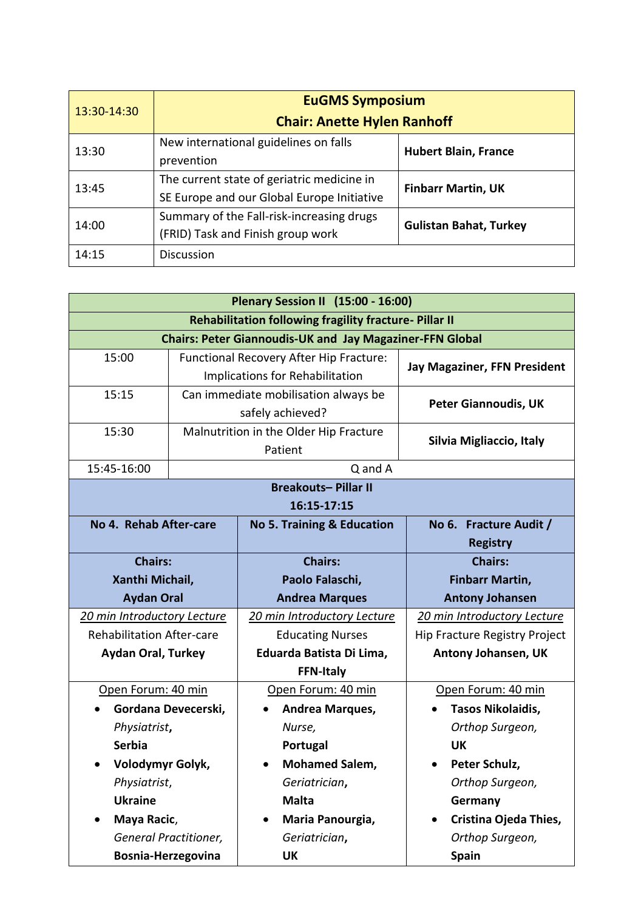| 13:30-14:30 | <b>EuGMS Symposium</b><br><b>Chair: Anette Hylen Ranhoff</b>                             |                               |  |
|-------------|------------------------------------------------------------------------------------------|-------------------------------|--|
| 13:30       | New international guidelines on falls<br>prevention                                      | <b>Hubert Blain, France</b>   |  |
| 13:45       | The current state of geriatric medicine in<br>SE Europe and our Global Europe Initiative | <b>Finbarr Martin, UK</b>     |  |
| 14:00       | Summary of the Fall-risk-increasing drugs<br>(FRID) Task and Finish group work           | <b>Gulistan Bahat, Turkey</b> |  |
| 14:15       | <b>Discussion</b>                                                                        |                               |  |

| <b>Plenary Session II (15:00 - 16:00)</b> |                     |                                                                 |                                     |  |
|-------------------------------------------|---------------------|-----------------------------------------------------------------|-------------------------------------|--|
|                                           |                     | <b>Rehabilitation following fragility fracture-Pillar II</b>    |                                     |  |
|                                           |                     | <b>Chairs: Peter Giannoudis-UK and Jay Magaziner-FFN Global</b> |                                     |  |
| 15:00                                     |                     | Functional Recovery After Hip Fracture:                         |                                     |  |
|                                           |                     | Implications for Rehabilitation                                 | <b>Jay Magaziner, FFN President</b> |  |
| 15:15                                     |                     | Can immediate mobilisation always be                            | <b>Peter Giannoudis, UK</b>         |  |
|                                           |                     | safely achieved?                                                |                                     |  |
| 15:30                                     |                     | Malnutrition in the Older Hip Fracture                          | Silvia Migliaccio, Italy            |  |
|                                           |                     | Patient                                                         |                                     |  |
| 15:45-16:00                               |                     | Q and A                                                         |                                     |  |
|                                           |                     | <b>Breakouts-Pillar II</b>                                      |                                     |  |
|                                           |                     | 16:15-17:15                                                     |                                     |  |
| No 4. Rehab After-care                    |                     | <b>No 5. Training &amp; Education</b>                           | No 6. Fracture Audit /              |  |
|                                           |                     |                                                                 | <b>Registry</b>                     |  |
| <b>Chairs:</b>                            |                     | <b>Chairs:</b>                                                  | <b>Chairs:</b>                      |  |
| Xanthi Michail,                           |                     | Paolo Falaschi,                                                 | <b>Finbarr Martin,</b>              |  |
| <b>Aydan Oral</b>                         |                     | <b>Andrea Marques</b>                                           | <b>Antony Johansen</b>              |  |
| 20 min Introductory Lecture               |                     | 20 min Introductory Lecture                                     | 20 min Introductory Lecture         |  |
| <b>Rehabilitation After-care</b>          |                     | <b>Educating Nurses</b>                                         | Hip Fracture Registry Project       |  |
| <b>Aydan Oral, Turkey</b>                 |                     | Eduarda Batista Di Lima,                                        | Antony Johansen, UK                 |  |
|                                           |                     | <b>FFN-Italy</b>                                                |                                     |  |
| Open Forum: 40 min                        |                     | Open Forum: 40 min                                              | Open Forum: 40 min                  |  |
|                                           | Gordana Devecerski, | Andrea Marques,                                                 | Tasos Nikolaidis,                   |  |
| Physiatrist,                              |                     | Nurse,                                                          | Orthop Surgeon,                     |  |
| <b>Serbia</b>                             |                     | Portugal                                                        | <b>UK</b>                           |  |
| Volodymyr Golyk,                          |                     | <b>Mohamed Salem,</b>                                           | Peter Schulz,                       |  |
| Physiatrist,                              |                     | Geriatrician,                                                   | Orthop Surgeon,                     |  |
| <b>Ukraine</b>                            |                     | <b>Malta</b>                                                    | Germany                             |  |
| Maya Racic,                               |                     | Maria Panourgia,                                                | Cristina Ojeda Thies,               |  |
| General Practitioner,                     |                     | Geriatrician,                                                   | Orthop Surgeon,                     |  |
| Bosnia-Herzegovina                        |                     | <b>UK</b>                                                       | <b>Spain</b>                        |  |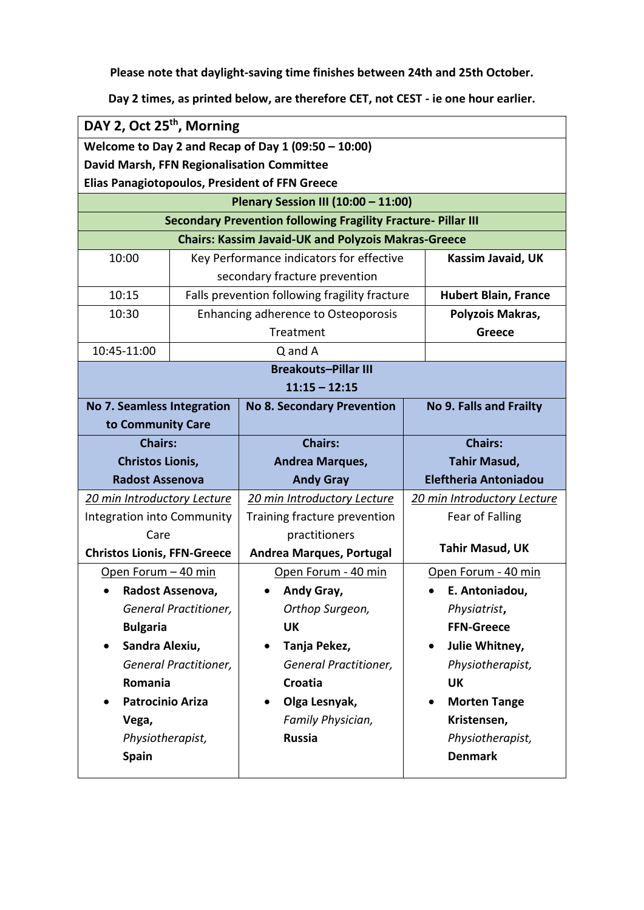**Please note that daylight-saving time finishes between 24th and 25th October.**

**Day 2 times, as printed below, are therefore CET, not CEST - ie one hour earlier.**

| DAY 2, Oct 25 <sup>th</sup> , Morning |                       |                                                                      |                              |                             |
|---------------------------------------|-----------------------|----------------------------------------------------------------------|------------------------------|-----------------------------|
|                                       |                       | Welcome to Day 2 and Recap of Day $1(09:50 - 10:00)$                 |                              |                             |
|                                       |                       | David Marsh, FFN Regionalisation Committee                           |                              |                             |
|                                       |                       | <b>Elias Panagiotopoulos, President of FFN Greece</b>                |                              |                             |
|                                       |                       | Plenary Session III (10:00 - 11:00)                                  |                              |                             |
|                                       |                       | <b>Secondary Prevention following Fragility Fracture- Pillar III</b> |                              |                             |
|                                       |                       | <b>Chairs: Kassim Javaid-UK and Polyzois Makras-Greece</b>           |                              |                             |
| 10:00                                 |                       | Key Performance indicators for effective                             |                              | Kassim Javaid, UK           |
|                                       |                       | secondary fracture prevention                                        |                              |                             |
| 10:15                                 |                       | Falls prevention following fragility fracture                        |                              | <b>Hubert Blain, France</b> |
| 10:30                                 |                       | Enhancing adherence to Osteoporosis                                  |                              | Polyzois Makras,            |
|                                       |                       | Treatment                                                            |                              | <b>Greece</b>               |
| 10:45-11:00                           |                       | Q and A                                                              |                              |                             |
|                                       |                       | <b>Breakouts-Pillar III</b>                                          |                              |                             |
|                                       |                       | $11:15 - 12:15$                                                      |                              |                             |
| <b>No 7. Seamless Integration</b>     |                       | <b>No 8. Secondary Prevention</b>                                    |                              | No 9. Falls and Frailty     |
| to Community Care                     |                       |                                                                      |                              |                             |
| <b>Chairs:</b>                        |                       | <b>Chairs:</b>                                                       | <b>Chairs:</b>               |                             |
| <b>Christos Lionis,</b>               |                       | Andrea Marques,                                                      | <b>Tahir Masud,</b>          |                             |
| <b>Radost Assenova</b>                |                       | <b>Andy Gray</b>                                                     | <b>Eleftheria Antoniadou</b> |                             |
| 20 min Introductory Lecture           |                       | 20 min Introductory Lecture                                          |                              | 20 min Introductory Lecture |
| <b>Integration into Community</b>     |                       | Training fracture prevention                                         |                              | Fear of Falling             |
| Care                                  |                       | practitioners                                                        |                              |                             |
| <b>Christos Lionis, FFN-Greece</b>    |                       | <b>Andrea Marques, Portugal</b>                                      |                              | <b>Tahir Masud, UK</b>      |
| Open Forum - 40 min                   |                       | Open Forum - 40 min                                                  |                              | Open Forum - 40 min         |
|                                       | Radost Assenova,      | Andy Gray,                                                           |                              | E. Antoniadou,              |
|                                       | General Practitioner, | Orthop Surgeon,                                                      |                              | Physiatrist,                |
| <b>Bulgaria</b>                       |                       | UK                                                                   |                              | <b>FFN-Greece</b>           |
| Sandra Alexiu,<br>$\bullet$           |                       | Tanja Pekez,<br>$\bullet$                                            |                              | Julie Whitney,              |
| General Practitioner,                 |                       | General Practitioner,                                                |                              | Physiotherapist,            |
| Romania                               |                       | Croatia                                                              |                              | <b>UK</b>                   |
| <b>Patrocinio Ariza</b>               |                       | Olga Lesnyak,<br>$\bullet$                                           |                              | <b>Morten Tange</b>         |
| Vega,                                 |                       | Family Physician,                                                    |                              | Kristensen,                 |
| Physiotherapist,                      |                       | <b>Russia</b>                                                        |                              | Physiotherapist,            |
| <b>Spain</b>                          |                       |                                                                      |                              | <b>Denmark</b>              |
|                                       |                       |                                                                      |                              |                             |